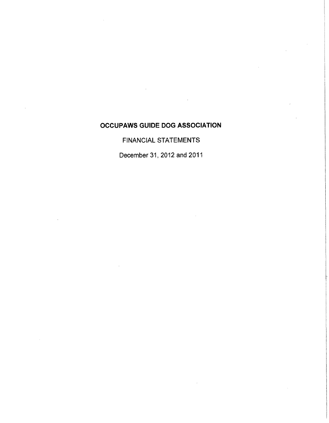FINANCIAL STATEMENTS

December 31,2012 and 2011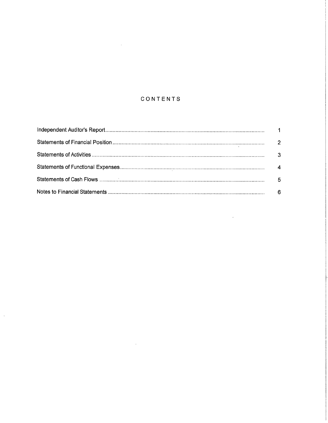# CONTENTS

 $\sim$   $\sim$ 

 $\sim$ 

| 6 |
|---|

 $\sim 10^{-1}$ 

 $\bar{\mathcal{A}}$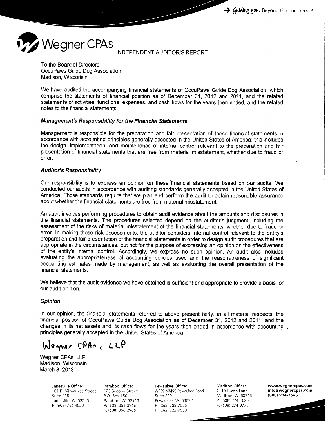

INDEPENDENT AUDITOR'S REPORT

To the Board of Directors OccuPaws Guide Dog Association Madison, Wisconsin

We have audited the accompanying financial statements of OccuPaws Guide Dog Association, which comprise the statements of financial position as of December 31, 2012 and 2011, and the related statements of activities, functional expenses, and cash flows for the years then ended, and the related notes to the financial statements.

#### *Management's Responsibility for the Financial Statements*

Management is responsible for the preparation and fair presentation of these financial statements in accordance with accounting principles generally accepted in the United States of America; this includes the design, implementation, and maintenance of internal control relevant to the preparation and fair presentation of financial statements that are free from material misstatement, whether due to fraud or error.

#### *Auditor's Responsibility*

Our responsibility is to express an opinion on these financial statements based on our audits. We conducted our audits in accordance with auditing standards generally accepted in the United States of America. Those standards require that we plan and perform the audit to obtain reasonable assurance about whether the financial statements are free from material misstatement.

An audit involves performing procedures to obtain audit evidence about the amounts and disclosures in the financial statements. The procedures selected depend on the auditor's judgment, including the assessment of the risks of material misstatement of the financial statements, whether due to fraud or error. In making those risk assessments, the auditor considers internal control relevant to the entity's preparation and fair presentation of the financial statements in order to design audit procedures that are appropriate in the circumstances, but not for the purpose of expressing an opinion on the effectiveness of the entity's internal control. Accordingly, we express no such opinion. An audit also includes evaluating the appropriateness of accounting policies used and the reasonableness of significant accounting estimates made by management, as well as evaluating the overall presentation of the financial statements.

We believe that the audit evidence we have obtained is sufficient and appropriate to provide a basis for our audit opinion.

#### *Opinion*

In our opinion, the financial statements referred to above present fairly, in all material respects, the financial position of OccuPaws Guide Dog Association as of December 31, 2012 and 2011, and the changes in its net assets and its cash flows for the years then ended in accordance with accounting principles generally accepted in the United States of America.

Weaner CQAS, LLP

Wegner CPAs, LLP Madison, Wisconsin March 8, 2013

> Janesville Office: 101 E. Milwaukee Street Suite 425 Janesville, WI 53545 P: (608) 756-4020

Baraboo Office: 123 Second Street P.O. Box 150 Baraboo, WI 53913 P: (608) 356-3966 F: (608) 356-2966

Pewaukee, WI 53072 P: (262) 522-7555 F: (262) 522-7550 Pewaukee Office: W239 N3490 Pewaukee Road Suite 200

Madison Office: 2110 Luann Lane Madison, WI 53713 P: (608) 274-4020 F: (608) 274-0775

[www.wegnercpas.com](http://www.wegnercpas.com) [info@wegnercpas.com](mailto:info@wegnercpas.com) (888) 204-7665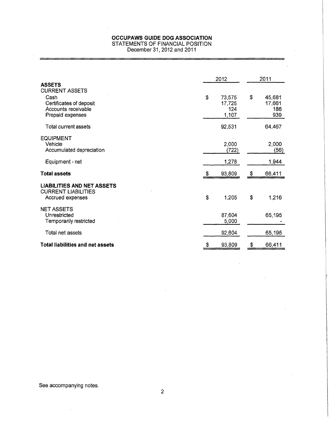## **OCCUPAWS GUIDE DOG ASSOCIATION** STATEMENTS OF FINANCIAL POSITION

December 31.2012 and 2011

|                                                                                                                      | 2012 |                                  | 2011 |                                |
|----------------------------------------------------------------------------------------------------------------------|------|----------------------------------|------|--------------------------------|
| <b>ASSETS</b><br><b>CURRENT ASSETS</b><br>Cash<br>Certificates of deposit<br>Accounts receivable<br>Prepaid expenses | \$   | 73,575<br>17,725<br>124<br>1,107 | \$   | 45,681<br>17,661<br>186<br>939 |
| <b>Total current assets</b>                                                                                          |      | 92,531                           |      | 64,467                         |
| <b>EQUIPMENT</b><br>Vehicle<br>Accumulated depreciation                                                              |      | 2,000<br>(722)                   |      | 2,000<br>(56)                  |
| Equipment - net                                                                                                      |      | 1,278                            |      | 1,944                          |
| <b>Total assets</b>                                                                                                  |      | 93,809                           | \$   | 66,411                         |
| <b>LIABILITIES AND NET ASSETS</b><br><b>CURRENT LIABILITIES</b><br>Accrued expenses                                  | \$   | 1,205                            | \$   | 1,216                          |
| <b>NET ASSETS</b><br>Unrestricted<br>Temporarily restricted                                                          |      | 87,604<br>5,000                  |      | 65,195                         |
| Total net assets                                                                                                     |      | 92,604                           |      | 65,195                         |
| <b>Total liabilities and net assets</b>                                                                              | \$   | 93,809                           | \$   | 66,411                         |

See accompanying notes.

 $\bar{z}$ 

 $\bar{z}$ 

 $\mathbb{R}^2$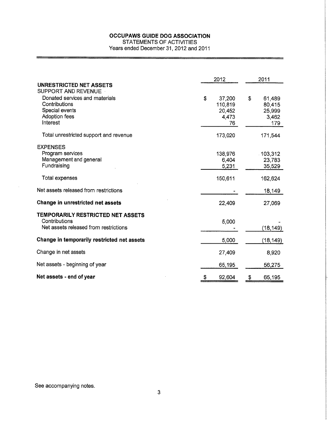STATEMENTS OF ACTIVITIES

Years ended December 31,2012 and 2011

|                                                                                                       | 2012                                             | 2011                                             |
|-------------------------------------------------------------------------------------------------------|--------------------------------------------------|--------------------------------------------------|
| UNRESTRICTED NET ASSETS<br>SUPPORT AND REVENUE                                                        |                                                  |                                                  |
| Donated services and materials<br>Contributions<br>Special events<br><b>Adoption fees</b><br>Interest | \$<br>37,200<br>110,819<br>20,452<br>4,473<br>76 | \$<br>61,489<br>80,415<br>25,999<br>3,462<br>179 |
| Total unrestricted support and revenue                                                                | 173,020                                          | 171,544                                          |
| <b>EXPENSES</b><br>Program services<br>Management and general<br>Fundraising                          | 138,976<br>6,404<br>5,231                        | $-103,312$<br>23,783<br>35,529                   |
| Total expenses                                                                                        | 150,611                                          | 162,624                                          |
| Net assets released from restrictions                                                                 |                                                  | 18,149                                           |
| Change in unrestricted net assets                                                                     | 22,409                                           | 27,069                                           |
| TEMPORARILY RESTRICTED NET ASSETS<br>Contributions<br>Net assets released from restrictions           | 5,000                                            | (18, 149)                                        |
| Change in temporarily restricted net assets                                                           | 5,000                                            | (18, 149)                                        |
| Change in net assets                                                                                  | 27,409                                           | 8,920                                            |
| Net assets - beginning of year                                                                        | 65,195                                           | 56,275                                           |
| Net assets - end of year                                                                              | 92,604<br>S                                      | \$<br>65,195                                     |

See accompanying notes.

 $\bar{z}$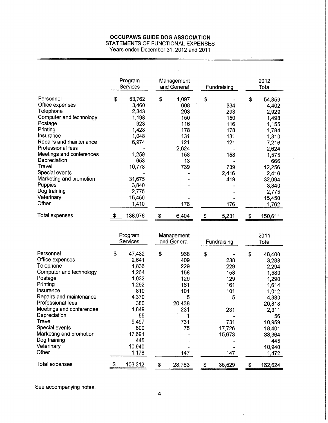STATEMENTS OF FUNCTIONAL EXPENSES Years ended December 31, 2012 and 2011

 $\overline{a}$ 

 $\mathcal{L}^{\mathcal{L}}$ 

|                          | Program<br><b>Services</b> |    | Management<br>and General |    | Fundraising |    | 2012<br>Total |  |
|--------------------------|----------------------------|----|---------------------------|----|-------------|----|---------------|--|
| Personnel                | \$<br>53,762               | \$ | 1,097                     | \$ |             | \$ | 54,859        |  |
| Office expenses          | 3,460                      |    | 608                       |    | 334         |    | 4,402         |  |
| Telephone                | 2,343                      |    | 293                       |    | 293         |    | 2,929         |  |
| Computer and technology  | 1,198                      |    | 150                       |    | 150         |    | 1,498         |  |
| Postage                  | 923                        |    | 116                       |    | 116         |    | 1,155         |  |
| Printing                 | 1,428                      |    | 178                       |    | 178         |    | 1,784         |  |
| Insurance                | 1,048                      |    | 131                       |    | 131         |    | 1,310         |  |
| Repairs and maintenance  | 6,974                      |    | 121                       |    | 121         |    | 7,216         |  |
| Professional fees        |                            |    | 2,624                     |    |             |    | 2,624         |  |
| Meetings and conferences | 1,259                      |    | 158                       |    | 158         |    | 1,575         |  |
| Depreciation             | 653                        |    | 13                        |    |             |    | 666           |  |
| Travel                   | 10,778                     |    | 739                       |    | 739         |    | 12,256        |  |
| Special events           |                            |    |                           |    | 2,416       |    | .2,416        |  |
| Marketing and promotion  | 31,675                     |    |                           |    | 419         |    | 32,094        |  |
| Puppies                  | 3,840                      |    |                           |    |             |    | 3,840         |  |
| Dog training             | 2,775                      |    |                           |    |             |    | 2,775         |  |
| Veterinary               | 15,450                     |    |                           |    |             |    | 15,450        |  |
| Other                    | 1,410                      |    | 176                       |    | 176         |    |               |  |
|                          |                            |    |                           |    |             |    | 1,762         |  |
| Total expenses           | \$<br>138,976              | \$ | 6,404                     | \$ | 5,231       | \$ | 150,611       |  |

|                          | Program<br>Services |         | Management<br>and General |    | Fundraising |    | 2011<br>Total |
|--------------------------|---------------------|---------|---------------------------|----|-------------|----|---------------|
|                          |                     |         |                           |    |             |    |               |
| Personnel                | \$                  | 47,432  | \$<br>968                 | \$ |             | \$ | 48,400        |
| Office expenses          |                     | 2,641   | 409                       |    | 238         |    | 3,288         |
| Telephone                |                     | 1,836   | 229                       |    | 229         |    | 2,294         |
| Computer and technology  |                     | 1,264   | 158                       |    | 158         |    | 1,580         |
| Postage                  |                     | 1,032   | 129                       |    | 129         |    | 1,290         |
| Printing                 |                     | 1,292   | 161                       |    | 161         |    | 1,614         |
| Insurance                |                     | 810     | 101                       |    | 101         |    | 1,012         |
| Repairs and maintenance  |                     | 4,370   | 5                         |    | 5           |    | 4,380         |
| Professional fees        |                     | 380     | 20,438                    |    |             |    | 20,818        |
| Meetings and conferences |                     | 1,849   | 231                       |    | 231         |    | 2,311         |
| Depreciation             |                     | 55      |                           |    |             |    | 56            |
| Travel                   |                     | 9,497   | 731                       |    | 731         |    | 10,959        |
| Special events           |                     | 600     | 75                        |    | 17,726      |    | 18,401        |
| Marketing and promotion  |                     | 17,691  |                           |    | 15,673      |    | 33,364        |
| Dog training             |                     | 445     |                           |    |             |    | 445           |
| Veterinary               |                     | 10,940  |                           |    |             |    | 10,940        |
| Other                    |                     | 1,178   | 147                       |    | 147         |    | 1,472         |
| Total expenses           | \$                  | 103,312 | \$<br>23,783              | \$ | 35,529      | \$ | 162,624       |

See accompanying notes.

 $\mathbf{r}$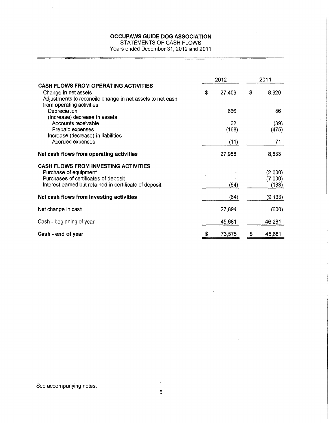STATEMENTS OF CASH FLOWS

 $\hat{\mathcal{L}}$ 

Years ended December 31, 2012 and 2011

|                                                           |    | 2012   | 2011 |          |  |
|-----------------------------------------------------------|----|--------|------|----------|--|
| <b>CASH FLOWS FROM OPERATING ACTIVITIES</b>               |    |        |      |          |  |
| Change in net assets                                      | \$ | 27,409 | \$   | 8,920    |  |
| Adjustments to reconcile change in net assets to net cash |    |        |      |          |  |
| from operating activities                                 |    |        |      |          |  |
| Depreciation                                              |    | 666    |      | 56       |  |
| (Increase) decrease in assets                             |    |        |      |          |  |
| Accounts receivable                                       |    | 62     |      | (39)     |  |
| Prepaid expenses                                          |    | (168)  |      | (475)    |  |
| Increase (decrease) in liabilities                        |    |        |      |          |  |
| Accrued expenses                                          |    | (11)   |      | 71       |  |
| Net cash flows from operating activities                  |    | 27,958 |      | 8,533    |  |
| <b>CASH FLOWS FROM INVESTING ACTIVITIES</b>               |    |        |      |          |  |
| Purchase of equipment                                     |    |        |      | (2,000)  |  |
| Purchases of certificates of deposit                      |    |        |      | (7,000)  |  |
| Interest earned but retained in certificate of deposit    |    | (64)   |      | (133)    |  |
| Net cash flows from investing activities                  |    | (64)   |      | (9, 133) |  |
| Net change in cash                                        |    | 27,894 |      | (600)    |  |
| Cash - beginning of year                                  |    | 45,681 |      | 46,281   |  |
| Cash - end of year                                        | S  | 73,575 | \$   | 45,681   |  |

See accompanying notes.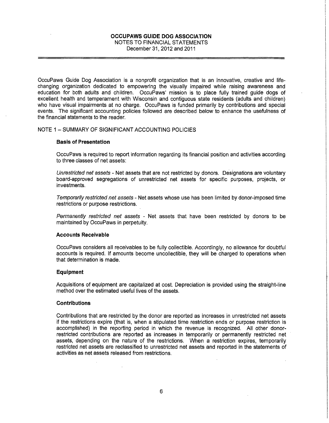NOTES TO FINANCIAL STATEMENTS December 31,2012 and 2011

OccuPaws Guide Dog Association is a nonprofit organization that is an innovative, creative and lifechanging organization dedicated to empowering the visually impaired while raising awareness and education for both adults and children. OccuPaws' mission is to place fully trained guide dogs of excellent health and temperament with Wisconsin and contiguous state residents (adults and children) who have visual impairments at no charge. OccuPaws is funded primarily by contributions and special events. The significant accounting policies followed are described below to enhance the usefulness of the financial statements to the reader.

### NOTE 1 - SUMMARY OF SIGNIFICANT ACCOUNTING POLICIES

## **Basis of Presentation**

OccuPaws is required to report information regarding its financial position and activities according to three classes of net assets:

*Unrestricted net assets -* Net assets that are not restricted by donors. Designations are voluntary board-approved segregations of unrestricted net assets for specific purposes, projects, or investments.

*Temporarily restricted net assets -* Net assets whose use has been limited by donor-imposed time restrictions or purpose restrictions.

*Permanently restricted net assets -* Net assets that have been restricted by donors to be maintained by OccuPaws in perpetuity.

#### **Accounts Receivable**

OccuPaws considers all receivables to be fully collectible. Accordingly, no allowance for doubtful accounts is required. If amounts become uncollectible, they will be charged to operations when that determination is made.

#### **Equipment**

Acquisitions of equipment are capitalized at cost. Depreciation is provided using the straight-line method over the estimated useful lives of the assets.

#### **Contributions**

Contributions that are restricted by the donor are reported as increases in unrestricted net assets if the restrictions expire (that is, when a stipulated time restriction ends or purpose restriction is accomplished) in the reporting period in which the revenue is recognized. All other donorrestricted contributions are reported as increases in temporarily or permanently restricted net assets, depending on the nature of the restrictions. When a restriction expires, temporarily restricted net assets are reclassified to unrestricted net assets and reported in the statements of activities as net assets released from restrictions.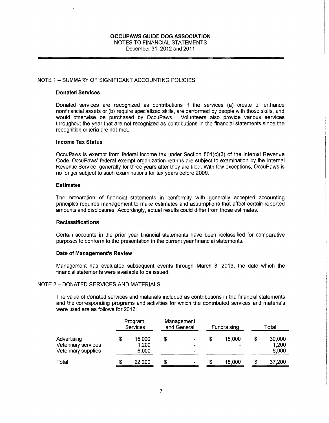NOTES TO FINANCIAL STATEMENTS December 31, 2012 and 2011

## NOTE 1 - SUMMARY OF SIGNIFICANT ACCOUNTING POLICIES

### **Donated Services**

Donated services are recognized as contributions if the services (a) create or enhance nonfinancial assets or (b) require specialized skills, are performed by people with those skills, and would otherwise be purchased by OccuPaws. Volunteers also provide various services throughout the year that are not recognized as contributions in the financial statements since the recognition criteria are not met.

## **Income Tax Status**

OccuPaws is exempt from federal income tax under Section 501(c)(3) of the Internal Revenue Code. OccuPaws' federal exempt organization returns are subject to examination by the Internal Revenue Service, generally for three years after they are filed. With few exceptions, OccuPaws is no longer subject to such examinations for tax years before 2009.

## **Estimates**

The preparation of financial statements in conformity with generally accepted accounting principles requires management to make estimates and assumptions that affect certain reported amounts and disclosures. Accordingly, actual results could differ from those estimates.

#### **Reclassifications**

Certain accounts in the prior year financial statements have been reclassified for comparative purposes to conform to the presentation in the current year financial statements.

## **Date of Management's Review**

Management has evaluated subsequent events through March 8, 2013, the date which the financial statements were available to be issued.

## NOTE 2 - DONATED SERVICES AND MATERIALS

The value of donated services and materials included as contributions in the financial statements and the corresponding programs and activities for which the contributed services and materials were used are as follows for 2012:

|                                                           |   | Program<br><b>Services</b> |   | Management<br>and General |  | Fundraising |    | Total                    |
|-----------------------------------------------------------|---|----------------------------|---|---------------------------|--|-------------|----|--------------------------|
| Advertising<br>Veterinary services<br>Veterinary supplies | S | 15,000<br>1,200<br>6,000   |   | ۰<br>۰<br>-               |  | 15.000      | \$ | 30,000<br>1,200<br>6,000 |
| Total                                                     | S | 22,200                     | S | ٠                         |  | 15.000      | S  | 37,200                   |